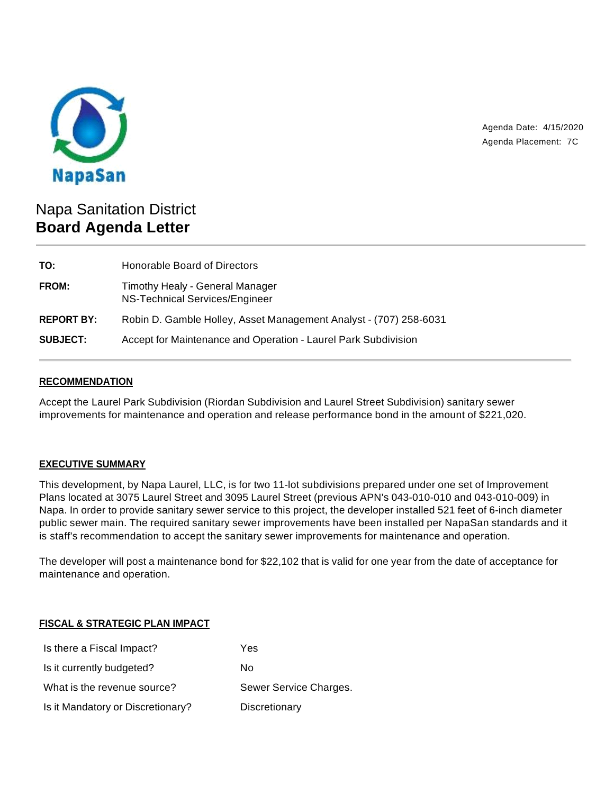

Agenda Date: 4/15/2020 Agenda Placement: 7C

# Napa Sanitation District **Board Agenda Letter**

| TO:               | Honorable Board of Directors                                      |
|-------------------|-------------------------------------------------------------------|
| <b>FROM:</b>      | Timothy Healy - General Manager<br>NS-Technical Services/Engineer |
| <b>REPORT BY:</b> | Robin D. Gamble Holley, Asset Management Analyst - (707) 258-6031 |
| <b>SUBJECT:</b>   | Accept for Maintenance and Operation - Laurel Park Subdivision    |

#### **RECOMMENDATION**

Accept the Laurel Park Subdivision (Riordan Subdivision and Laurel Street Subdivision) sanitary sewer improvements for maintenance and operation and release performance bond in the amount of \$221,020.

## **EXECUTIVE SUMMARY**

This development, by Napa Laurel, LLC, is for two 11-lot subdivisions prepared under one set of Improvement Plans located at 3075 Laurel Street and 3095 Laurel Street (previous APN's 043-010-010 and 043-010-009) in Napa. In order to provide sanitary sewer service to this project, the developer installed 521 feet of 6-inch diameter public sewer main. The required sanitary sewer improvements have been installed per NapaSan standards and it is staff's recommendation to accept the sanitary sewer improvements for maintenance and operation.

The developer will post a maintenance bond for \$22,102 that is valid for one year from the date of acceptance for maintenance and operation.

## **FISCAL & STRATEGIC PLAN IMPACT**

| Is there a Fiscal Impact?         | Yes                    |
|-----------------------------------|------------------------|
| Is it currently budgeted?         | Nο                     |
| What is the revenue source?       | Sewer Service Charges. |
| Is it Mandatory or Discretionary? | Discretionary          |